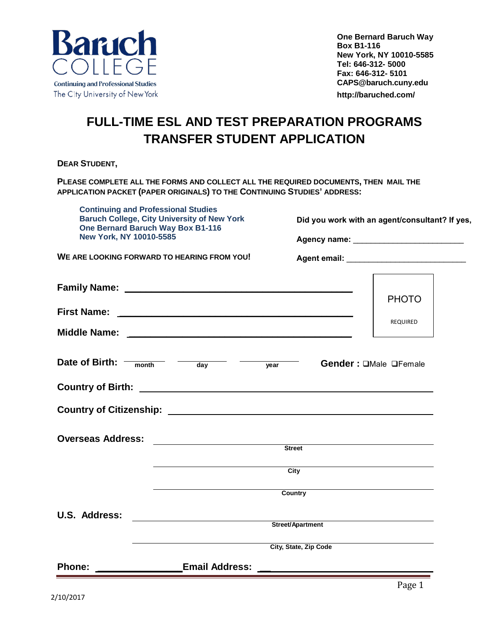

## **FULL-TIME ESL AND TEST PREPARATION PROGRAMS TRANSFER STUDENT APPLICATION**

**DEAR STUDENT,** 

**PLEASE COMPLETE ALL THE FORMS AND COLLECT ALL THE REQUIRED DOCUMENTS, THEN MAIL THE APPLICATION PACKET (PAPER ORIGINALS) TO THE CONTINUING STUDIES' ADDRESS:** 

| <b>Continuing and Professional Studies</b><br><b>Baruch College, City University of New York</b><br>One Bernard Baruch Way Box B1-116<br>New York, NY 10010-5585 |                                                                                                                       | Did you work with an agent/consultant? If yes, |                       |  |  |  |
|------------------------------------------------------------------------------------------------------------------------------------------------------------------|-----------------------------------------------------------------------------------------------------------------------|------------------------------------------------|-----------------------|--|--|--|
| WE ARE LOOKING FORWARD TO HEARING FROM YOU!                                                                                                                      |                                                                                                                       |                                                |                       |  |  |  |
|                                                                                                                                                                  |                                                                                                                       |                                                |                       |  |  |  |
|                                                                                                                                                                  |                                                                                                                       |                                                | <b>PHOTO</b>          |  |  |  |
|                                                                                                                                                                  |                                                                                                                       |                                                | <b>REQUIRED</b>       |  |  |  |
|                                                                                                                                                                  |                                                                                                                       |                                                |                       |  |  |  |
| Date of Birth: $-$                                                                                                                                               | month day vear                                                                                                        |                                                | Gender: OMale OFemale |  |  |  |
|                                                                                                                                                                  |                                                                                                                       |                                                |                       |  |  |  |
| Country of Citizenship: Country of Citizenship:                                                                                                                  |                                                                                                                       |                                                |                       |  |  |  |
| <b>Overseas Address:</b>                                                                                                                                         | <u> 1989 - Jan Barbara Barat, martin da basar da basar da basar da basar da basar da basar da basar da basar da b</u> | <b>Street</b>                                  |                       |  |  |  |
|                                                                                                                                                                  |                                                                                                                       |                                                |                       |  |  |  |
|                                                                                                                                                                  |                                                                                                                       | $\overline{City}$                              |                       |  |  |  |
|                                                                                                                                                                  |                                                                                                                       | Country                                        |                       |  |  |  |
| U.S. Address:                                                                                                                                                    | <u> 1980 - Andrea Station (b. 1980)</u>                                                                               | Street/Apartment                               |                       |  |  |  |
|                                                                                                                                                                  |                                                                                                                       | City, State, Zip Code                          |                       |  |  |  |
| Phone:                                                                                                                                                           | <b>Email Address:</b>                                                                                                 |                                                |                       |  |  |  |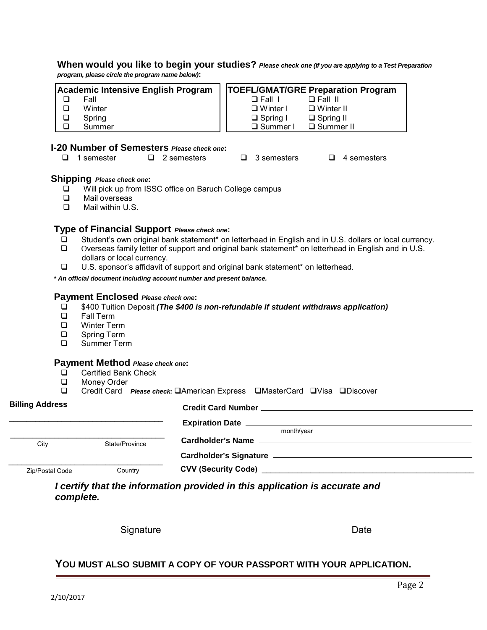#### **When would you like to begin your studies?** *Please check one (If you are applying to a Test Preparation program, please circle the program name below)***:**

| Academic Intensive English Program |        | <b>TOEFL/GMAT/GRE Preparation Program</b> |  |  |  |
|------------------------------------|--------|-------------------------------------------|--|--|--|
|                                    | Fall   | $\Box$ Fall II<br>$\Box$ Fall 1           |  |  |  |
|                                    | Winter | $\Box$ Winter I<br>$\Box$ Winter II       |  |  |  |
|                                    | Spring | $\Box$ Spring II<br>$\Box$ Spring I       |  |  |  |
|                                    | Summer | □ Summer I<br>□ Summer II                 |  |  |  |

### **I-20 Number of Semesters** *Please check one***:**

| $\Box$ 4 semesters<br>$\Box$ 1 semester<br>$\Box$ 2 semesters<br>$\Box$ 3 semesters |
|-------------------------------------------------------------------------------------|
|-------------------------------------------------------------------------------------|

# **Shipping** *Please check one*:<br>  $\square$  Will pick up from IS

- $\Box$  Will pick up from ISSC office on Baruch College campus<br> $\Box$  Mail overseas
- $\square$  Mail overseas<br> $\square$  Mail within U.S
- Mail within U.S.

## **Type of Financial Support** *Please check one***:**

- **□** Student's own original bank statement\* on letterhead in English and in U.S. dollars or local currency.<br>○ Overseas family letter of support and original bank statement\* on letterhead in English and in U.S.
- Overseas family letter of support and original bank statement\* on letterhead in English and in U.S. dollars or local currency.
- U.S. sponsor's affidavit of support and original bank statement\* on letterhead.

*\* An official document including account number and present balance.*

### **Payment Enclosed** *Please check one***:**

- \$400 Tuition Deposit *(The \$400 is non-refundable if student withdraws application)*
- □ Fall Term<br>□ Winter Te
- □ Winter Term<br>□ Spring Term
- □ Spring Term<br>□ Summer Terr
- Summer Term

# **Payment Method** *Please check one***:**

- □ Certified Bank Check<br>□ Monev Order
- □ Money Order<br>□ Credit Card
- Credit Card *Please check:* **American Express EMasterCard EVisa EDiscover**

| <b>Billing Address</b> |                | Credit Card Number New York Credit Card Number New York Credit Card Number New York Credit Card Number 1 |
|------------------------|----------------|----------------------------------------------------------------------------------------------------------|
|                        |                |                                                                                                          |
| City                   | State/Province | month/year                                                                                               |
|                        |                |                                                                                                          |
| Zip/Postal Code        | Country        | <b>CVV (Security Code)</b>                                                                               |

*I certify that the information provided in this application is accurate and complete.*

Signature Date Date

## **YOU MUST ALSO SUBMIT A COPY OF YOUR PASSPORT WITH YOUR APPLICATION.**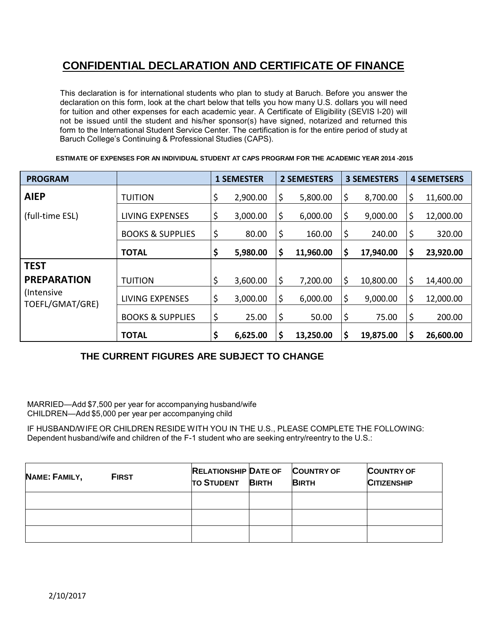## **CONFIDENTIAL DECLARATION AND CERTIFICATE OF FINANCE**

This declaration is for international students who plan to study at Baruch. Before you answer the declaration on this form, look at the chart below that tells you how many U.S. dollars you will need for tuition and other expenses for each academic year. A Certificate of Eligibility (SEVIS I-20) will not be issued until the student and his/her sponsor(s) have signed, notarized and returned this form to the International Student Service Center. The certification is for the entire period of study at Baruch College's Continuing & Professional Studies (CAPS).

| <b>PROGRAM</b>                 |                             | <b>1 SEMESTER</b> |    | <b>2 SEMESTERS</b> |         | <b>3 SEMESTERS</b> |    | <b>4 SEMETSERS</b> |
|--------------------------------|-----------------------------|-------------------|----|--------------------|---------|--------------------|----|--------------------|
| <b>AIEP</b>                    | <b>TUITION</b>              | \$<br>2,900.00    |    | 5,800.00           | \$      | 8,700.00           | Ş  | 11,600.00          |
| (full-time ESL)                | <b>LIVING EXPENSES</b>      | \$<br>3,000.00    | Ş  | 6,000.00           | \$      | 9,000.00           | \$ | 12,000.00          |
|                                | <b>BOOKS &amp; SUPPLIES</b> | \$<br>80.00       | Ş  | 160.00             | \$      | 240.00             | \$ | 320.00             |
|                                | <b>TOTAL</b>                | \$<br>5,980.00    | Ş  | 11,960.00          | \$      | 17,940.00          | \$ | 23,920.00          |
| <b>TEST</b>                    |                             |                   |    |                    |         |                    |    |                    |
| <b>PREPARATION</b>             | <b>TUITION</b>              | \$<br>3,600.00    | Ş  | 7,200.00           | \$      | 10,800.00          | \$ | 14,400.00          |
| (Intensive)<br>TOEFL/GMAT/GRE) | <b>LIVING EXPENSES</b>      | \$<br>3,000.00    | \$ | 6,000.00           | \$      | 9,000.00           | \$ | 12,000.00          |
|                                | <b>BOOKS &amp; SUPPLIES</b> | \$<br>25.00       | \$ | 50.00              | \$      | 75.00              | \$ | 200.00             |
|                                | <b>TOTAL</b>                | \$<br>6,625.00    | \$ | 13,250.00          | $\zeta$ | 19,875.00          | \$ | 26,600.00          |

 **ESTIMATE OF EXPENSES FOR AN INDIVIDUAL STUDENT AT CAPS PROGRAM FOR THE ACADEMIC YEAR 2014 -2015**

## **THE CURRENT FIGURES ARE SUBJECT TO CHANGE**

MARRIED—Add \$7,500 per year for accompanying husband/wife CHILDREN—Add \$5,000 per year per accompanying child

IF HUSBAND/WIFE OR CHILDREN RESIDE WITH YOU IN THE U.S., PLEASE COMPLETE THE FOLLOWING: Dependent husband/wife and children of the F-1 student who are seeking entry/reentry to the U.S.:

| NAME: FAMILY, | <b>FIRST</b> | <b>RELATIONSHIP DATE OF</b><br><b>TO STUDENT</b> | <b>BIRTH</b> | <b>COUNTRY OF</b><br><b>BIRTH</b> | <b>COUNTRY OF</b><br><b>CITIZENSHIP</b> |
|---------------|--------------|--------------------------------------------------|--------------|-----------------------------------|-----------------------------------------|
|               |              |                                                  |              |                                   |                                         |
|               |              |                                                  |              |                                   |                                         |
|               |              |                                                  |              |                                   |                                         |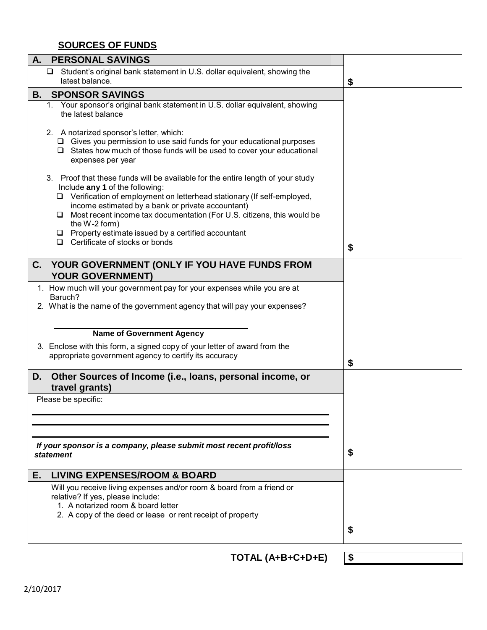## **SOURCES OF FUNDS**

| A.<br><b>PERSONAL SAVINGS</b>                                                                                                                                                                                                                                                                                                                              |    |
|------------------------------------------------------------------------------------------------------------------------------------------------------------------------------------------------------------------------------------------------------------------------------------------------------------------------------------------------------------|----|
| $\Box$ Student's original bank statement in U.S. dollar equivalent, showing the<br>latest balance.                                                                                                                                                                                                                                                         | \$ |
| <b>SPONSOR SAVINGS</b><br>В.                                                                                                                                                                                                                                                                                                                               |    |
| 1. Your sponsor's original bank statement in U.S. dollar equivalent, showing<br>the latest balance                                                                                                                                                                                                                                                         |    |
| 2. A notarized sponsor's letter, which:<br>$\Box$ Gives you permission to use said funds for your educational purposes<br>$\Box$ States how much of those funds will be used to cover your educational<br>expenses per year                                                                                                                                |    |
| 3. Proof that these funds will be available for the entire length of your study<br>Include any 1 of the following:<br>$\Box$ Verification of employment on letterhead stationary (If self-employed,<br>income estimated by a bank or private accountant)<br>$\Box$ Most recent income tax documentation (For U.S. citizens, this would be<br>the W-2 form) |    |
| $\Box$ Property estimate issued by a certified accountant                                                                                                                                                                                                                                                                                                  |    |
| $\Box$ Certificate of stocks or bonds                                                                                                                                                                                                                                                                                                                      | \$ |
| C. YOUR GOVERNMENT (ONLY IF YOU HAVE FUNDS FROM<br><b>YOUR GOVERNMENT)</b>                                                                                                                                                                                                                                                                                 |    |
| 1. How much will your government pay for your expenses while you are at                                                                                                                                                                                                                                                                                    |    |
| Baruch?                                                                                                                                                                                                                                                                                                                                                    |    |
| 2. What is the name of the government agency that will pay your expenses?                                                                                                                                                                                                                                                                                  |    |
| <b>Name of Government Agency</b>                                                                                                                                                                                                                                                                                                                           |    |
| 3. Enclose with this form, a signed copy of your letter of award from the<br>appropriate government agency to certify its accuracy                                                                                                                                                                                                                         | \$ |
| Other Sources of Income (i.e., loans, personal income, or<br>D.<br>travel grants)                                                                                                                                                                                                                                                                          |    |
| Please be specific:                                                                                                                                                                                                                                                                                                                                        |    |
|                                                                                                                                                                                                                                                                                                                                                            |    |
|                                                                                                                                                                                                                                                                                                                                                            |    |
|                                                                                                                                                                                                                                                                                                                                                            |    |
| If your sponsor is a company, please submit most recent profit/loss<br>statement                                                                                                                                                                                                                                                                           | \$ |
| <b>LIVING EXPENSES/ROOM &amp; BOARD</b><br>Е.                                                                                                                                                                                                                                                                                                              |    |
| Will you receive living expenses and/or room & board from a friend or<br>relative? If yes, please include:<br>1. A notarized room & board letter<br>2. A copy of the deed or lease or rent receipt of property                                                                                                                                             |    |
|                                                                                                                                                                                                                                                                                                                                                            |    |
|                                                                                                                                                                                                                                                                                                                                                            | \$ |

**TOTAL (A+B+C+D+E) \$**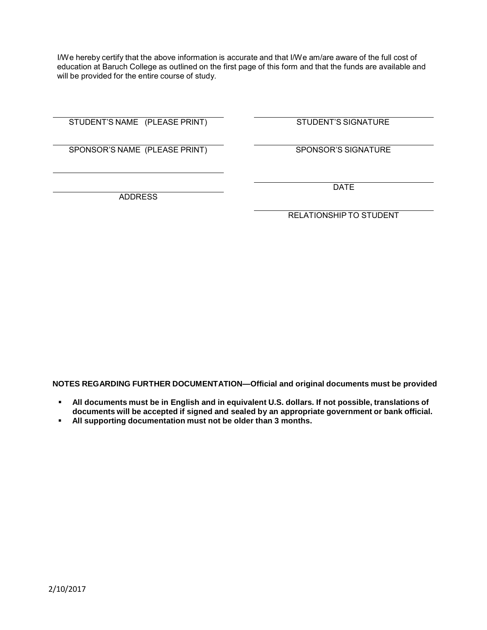I/We hereby certify that the above information is accurate and that I/We am/are aware of the full cost of education at Baruch College as outlined on the first page of this form and that the funds are available and will be provided for the entire course of study.

STUDENT'S NAME (PLEASE PRINT) STUDENT'S SIGNATURE

SPONSOR'S NAME (PLEASE PRINT) SPONSOR'S SIGNATURE

ADDRESS

DATE

RELATIONSHIP TO STUDENT

**NOTES REGARDING FURTHER DOCUMENTATION—Official and original documents must be provided**

- **All documents must be in English and in equivalent U.S. dollars. If not possible, translations of documents will be accepted if signed and sealed by an appropriate government or bank official.**
- **All supporting documentation must not be older than 3 months.**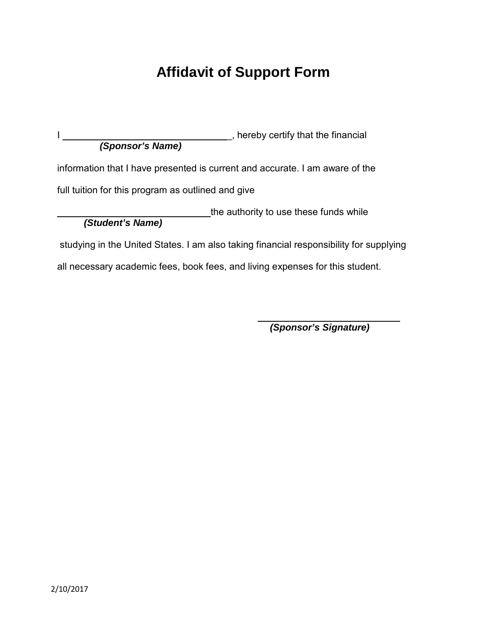# **Affidavit of Support Form**

| (Sponsor's Name)                                   | , hereby certify that the financial                                                    |
|----------------------------------------------------|----------------------------------------------------------------------------------------|
|                                                    | information that I have presented is current and accurate. I am aware of the           |
| full tuition for this program as outlined and give |                                                                                        |
| (Student's Name)                                   | the authority to use these funds while                                                 |
|                                                    | studying in the United States. I am also taking financial responsibility for supplying |
|                                                    | all necessary academic fees, book fees, and living expenses for this student.          |

*(Sponsor's Signature)*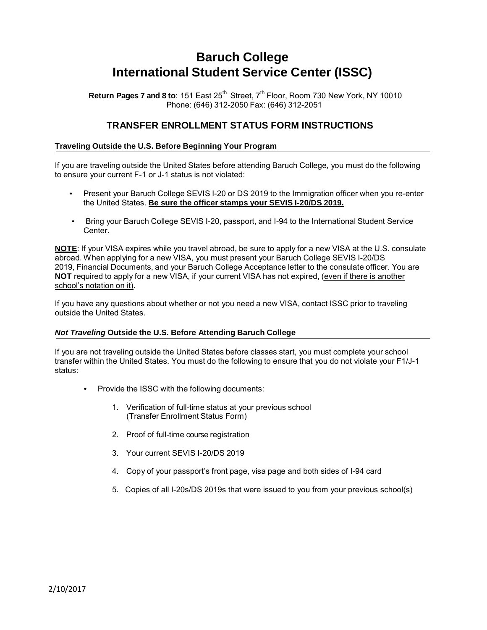## **Baruch College International Student Service Center (ISSC)**

**Return Pages 7 and 8 to:** 151 East 25<sup>th</sup> Street, 7<sup>th</sup> Floor, Room 730 New York, NY 10010 Phone: (646) 312-2050 Fax: (646) 312-2051

## **TRANSFER ENROLLMENT STATUS FORM INSTRUCTIONS**

#### **Traveling Outside the U.S. Before Beginning Your Program**

If you are traveling outside the United States before attending Baruch College, you must do the following to ensure your current F-1 or J-1 status is not violated:

- Present your Baruch College SEVIS I-20 or DS 2019 to the Immigration officer when you re-enter the United States. **Be sure the officer stamps your SEVIS I-20/DS 2019.**
- Bring your Baruch College SEVIS I-20, passport, and I-94 to the International Student Service Center.

**NOTE**: If your VISA expires while you travel abroad, be sure to apply for a new VISA at the U.S. consulate abroad. When applying for a new VISA, you must present your Baruch College SEVIS I-20/DS 2019, Financial Documents, and your Baruch College Acceptance letter to the consulate officer. You are **NOT** required to apply for a new VISA, if your current VISA has not expired, (even if there is another school's notation on it).

If you have any questions about whether or not you need a new VISA, contact ISSC prior to traveling outside the United States.

#### *Not Traveling* **Outside the U.S. Before Attending Baruch College**

If you are not traveling outside the United States before classes start, you must complete your school transfer within the United States. You must do the following to ensure that you do not violate your F1/J-1 status:

- Provide the ISSC with the following documents:
	- 1. Verification of full-time status at your previous school (Transfer Enrollment Status Form)
	- 2. Proof of full-time course registration
	- 3. Your current SEVIS I-20/DS 2019
	- 4. Copy of your passport's front page, visa page and both sides of I-94 card
	- 5. Copies of all I-20s/DS 2019s that were issued to you from your previous school(s)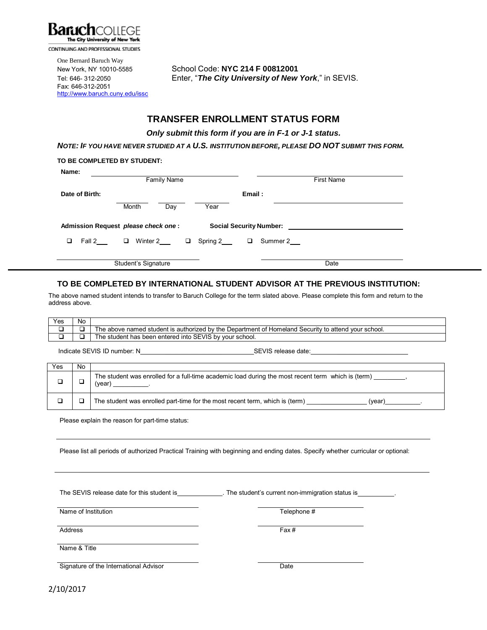

CONTINUING AND PROFESSIONAL STUDIES

One Bernard Baruch Way Fax: 646-312-2051 <http://www.baruch.cuny.edu/issc>

New York, NY 10010-5585 School Code: **NYC 214 F 00812001** Tel: 646- 312-2050 Enter, "*The City University of New York*," in SEVIS.

## **TRANSFER ENROLLMENT STATUS FORM**

 *Only submit this form if you are in F-1 or J-1 status.* 

*NOTE: IF YOU HAVE NEVER STUDIED AT A U.S. INSTITUTION BEFORE, PLEASE DO NOT SUBMIT THIS FORM.*

|                | Family Name                         |                       | <b>First Name</b>                               |
|----------------|-------------------------------------|-----------------------|-------------------------------------------------|
| Date of Birth: |                                     | Email:                |                                                 |
|                | Month<br>Day                        | Year                  |                                                 |
|                | Admission Request please check one: |                       | Social Security Number: Social Security Number: |
| Fall 2<br>□    | $\Box$<br>Winter 2<br>$\Box$        | Spring 2___<br>$\Box$ | Summer 2                                        |
|                |                                     |                       |                                                 |
|                | Student's Signature                 |                       | Date                                            |

### **TO BE COMPLETED BY INTERNATIONAL STUDENT ADVISOR AT THE PREVIOUS INSTITUTION:**

The above named student intends to transfer to Baruch College for the term slated above. Please complete this form and return to the address above.

| Yes | No |                                                                                                                  |
|-----|----|------------------------------------------------------------------------------------------------------------------|
|     |    | The above named student is authorized by the Department of<br>l Security to attend<br>Homeland<br>' vour school. |
|     |    | Into SEVIS<br>≒ by vour school.<br>been entered<br>has<br>'n≏<br>student<br>.                                    |

Indicate SEVIS ID number: N \_\_\_\_\_\_\_\_\_\_\_\_\_\_\_\_ SEVIS release date: \_\_\_\_\_\_\_\_\_\_\_\_\_\_\_\_\_\_\_\_

| Yes | No. |                                                                                                              |
|-----|-----|--------------------------------------------------------------------------------------------------------------|
|     |     | The student was enrolled for a full-time academic load during the most recent term which is (term)<br>(year) |
|     |     | The student was enrolled part-time for the most recent term, which is (term)<br>(vear)                       |

Please explain the reason for part-time status:

Please list all periods of authorized Practical Training with beginning and ending dates. Specify whether curricular or optional:

\_\_\_\_\_\_\_\_\_\_\_\_\_\_\_\_\_\_\_\_\_\_\_\_\_\_\_\_\_\_\_\_\_\_\_\_\_\_\_\_\_\_\_\_\_\_\_\_\_\_\_\_\_\_\_\_\_\_\_\_\_\_\_\_\_\_\_\_\_\_\_\_\_\_\_\_\_\_\_\_\_\_\_\_\_\_\_\_\_\_\_\_\_\_\_\_\_\_\_

The SEVIS release date for this student is \_\_\_\_\_\_\_\_\_\_. The student's current non-immigration status is

Name of Institution Telephone #

Address Fax # Address Fax # Address Fax # Address Fax # Address Fax # Address Fax # Address Fax # Address Fax #  $\sim$  Fax #  $\sim$  7  $\sim$  7  $\sim$  7  $\sim$  7  $\sim$  7  $\sim$  7  $\sim$  7  $\sim$  7  $\sim$  7  $\sim$  7  $\sim$  7  $\sim$  7  $\sim$  7  $\sim$  7

Name & Title

Signature of the International Advisor Date